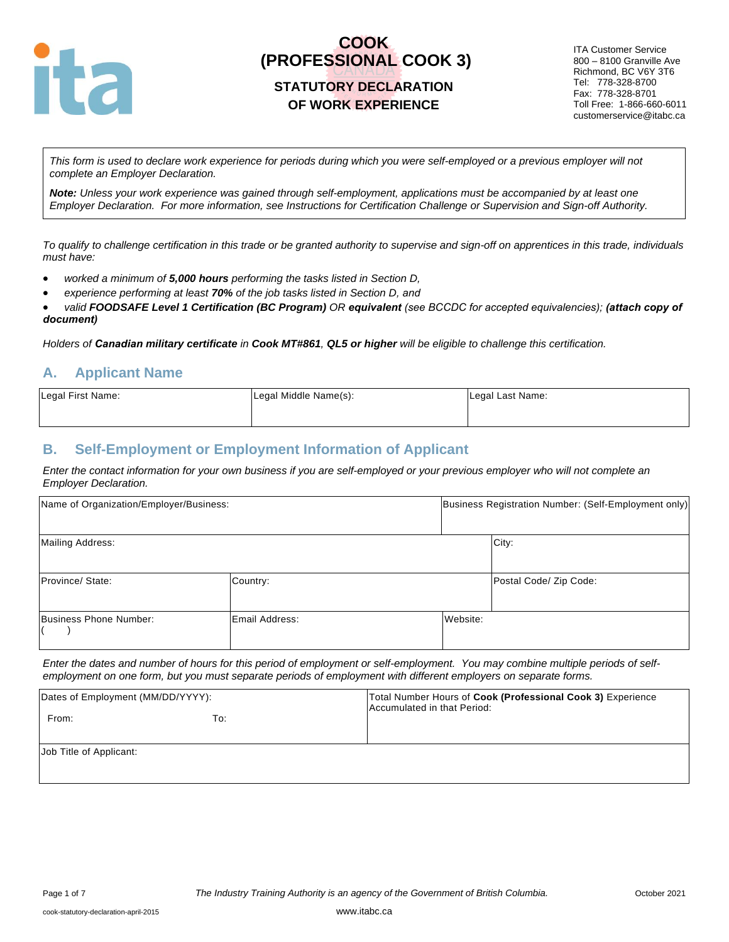

# **COOK (PROFESSIONAL COOK 3)**

### **STATUTORY DECLARATION OF WORK EXPERIENCE**

ITA Customer Service 800 – 8100 Granville Ave Richmond, BC V6Y 3T6 Tel: 778-328-8700 Fax: 778-328-8701 Toll Free: 1-866-660-6011 customerservice@itabc.ca

*This form is used to declare work experience for periods during which you were self-employed or a previous employer will not complete an Employer Declaration.* 

*Note: Unless your work experience was gained through self-employment, applications must be accompanied by at least one Employer Declaration. For more information, see Instructions for Certification Challenge or Supervision and Sign-off Authority.*

*To qualify to challenge certification in this trade or be granted authority to supervise and sign-off on apprentices in this trade, individuals must have:*

- *worked a minimum of 5,000 hours performing the tasks listed in Section D,*
- *experience performing at least 70% of the job tasks listed in Section D, and*

• *valid FOODSAFE Level 1 Certification (BC Program) OR equivalent (see BCCDC for accepted equivalencies); (attach copy of document)* 

*Holders of Canadian military certificate in Cook MT#861, QL5 or higher will be eligible to challenge this certification.*

### **A. Applicant Name**

| Legal First Name: | Legal Middle Name(s): | Legal Last Name: |
|-------------------|-----------------------|------------------|
|                   |                       |                  |

#### **B. Self-Employment or Employment Information of Applicant**

*Enter the contact information for your own business if you are self-employed or your previous employer who will not complete an Employer Declaration.*

| Name of Organization/Employer/Business: |                | Business Registration Number: (Self-Employment only) |  |
|-----------------------------------------|----------------|------------------------------------------------------|--|
| <b>Mailing Address:</b>                 |                | City:                                                |  |
| Province/ State:                        | Country:       | Postal Code/ Zip Code:                               |  |
| Business Phone Number:                  | Email Address: | Website:                                             |  |

*Enter the dates and number of hours for this period of employment or self-employment. You may combine multiple periods of selfemployment on one form, but you must separate periods of employment with different employers on separate forms.*

| Dates of Employment (MM/DD/YYYY): |     | Total Number Hours of Cook (Professional Cook 3) Experience<br>Accumulated in that Period: |  |  |
|-----------------------------------|-----|--------------------------------------------------------------------------------------------|--|--|
| From:                             | To: |                                                                                            |  |  |
| Job Title of Applicant:           |     |                                                                                            |  |  |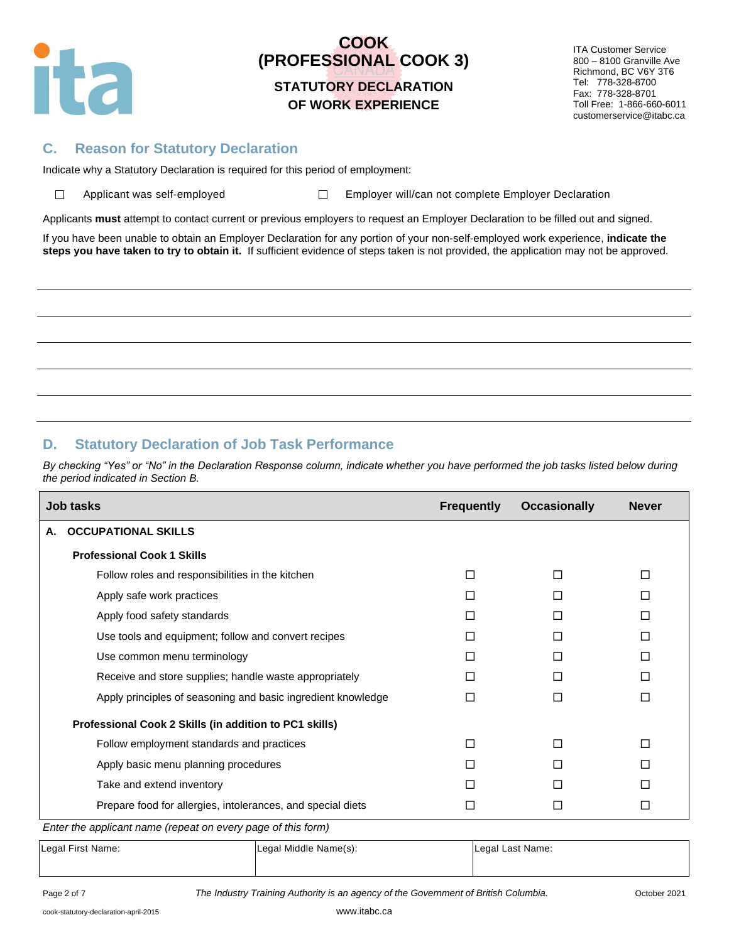

 $\Box$ 

# **COOK (PROFESSIONAL COOK 3)**

## **STATUTORY DECLARATION OF WORK EXPERIENCE**

ITA Customer Service 800 – 8100 Granville Ave Richmond, BC V6Y 3T6 Tel: 778-328-8700 Fax: 778-328-8701 Toll Free: 1-866-660-6011 customerservice@itabc.ca

#### **C. Reason for Statutory Declaration**

Indicate why a Statutory Declaration is required for this period of employment:

Applicant was self-employed  $\square$  Employer will/can not complete Employer Declaration

Applicants **must** attempt to contact current or previous employers to request an Employer Declaration to be filled out and signed.

If you have been unable to obtain an Employer Declaration for any portion of your non-self-employed work experience, **indicate the steps you have taken to try to obtain it.** If sufficient evidence of steps taken is not provided, the application may not be approved.

## **D. Statutory Declaration of Job Task Performance**

By checking "Yes" or "No" in the Declaration Response column, indicate whether you have performed the job tasks listed below during *the period indicated in Section B.*

| Job tasks                                                                                                                            | <b>Frequently</b> | <b>Occasionally</b> | <b>Never</b> |
|--------------------------------------------------------------------------------------------------------------------------------------|-------------------|---------------------|--------------|
| <b>OCCUPATIONAL SKILLS</b><br>А.                                                                                                     |                   |                     |              |
| <b>Professional Cook 1 Skills</b>                                                                                                    |                   |                     |              |
| Follow roles and responsibilities in the kitchen                                                                                     | П                 | П                   | П            |
| Apply safe work practices                                                                                                            | П                 | П                   | П            |
| Apply food safety standards                                                                                                          | П                 | П                   | П            |
| Use tools and equipment; follow and convert recipes                                                                                  | □                 | П                   | П            |
| Use common menu terminology                                                                                                          |                   |                     | П            |
| Receive and store supplies; handle waste appropriately                                                                               | П                 | П                   | П            |
| Apply principles of seasoning and basic ingredient knowledge                                                                         | П                 | П                   | П            |
| Professional Cook 2 Skills (in addition to PC1 skills)                                                                               |                   |                     |              |
| Follow employment standards and practices                                                                                            | П                 | П                   | П            |
| Apply basic menu planning procedures                                                                                                 | П                 | П                   | П            |
| Take and extend inventory                                                                                                            | П                 | П                   | П            |
| Prepare food for allergies, intolerances, and special diets<br>$\Gamma$ ptan tha annliaent names (nonaet an arran name af this fame) | П                 | □                   | □            |

*Enter the applicant name (repeat on every page of this form)*

| Legal First Name: | Legal Middle Name(s): | Legal Last Name: |
|-------------------|-----------------------|------------------|
|                   |                       |                  |

Page 2 of 7 *The Industry Training Authority is an agency of the Government of British Columbia.* October 2021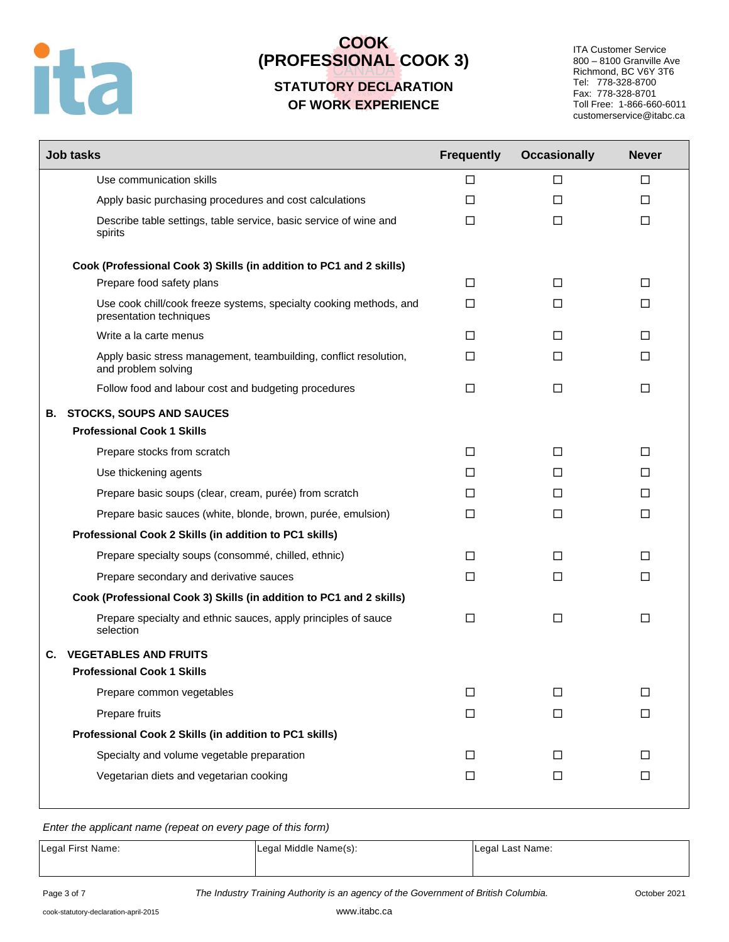

# **COOK (PROFESSIONAL COOK 3)**

## **STATUTORY DECLARATION OF WORK EXPERIENCE**

ITA Customer Service 800 – 8100 Granville Ave Richmond, BC V6Y 3T6 Tel: 778-328-8700 Fax: 778-328-8701 Toll Free: 1-866-660-6011 customerservice@itabc.ca

|    | <b>Job tasks</b>                                                                              | <b>Frequently</b> | <b>Occasionally</b> | <b>Never</b> |
|----|-----------------------------------------------------------------------------------------------|-------------------|---------------------|--------------|
|    | Use communication skills                                                                      | $\Box$            | $\Box$              | $\Box$       |
|    | Apply basic purchasing procedures and cost calculations                                       | $\Box$            | □                   | □            |
|    | Describe table settings, table service, basic service of wine and<br>spirits                  | $\Box$            | $\Box$              | $\Box$       |
|    | Cook (Professional Cook 3) Skills (in addition to PC1 and 2 skills)                           |                   |                     |              |
|    | Prepare food safety plans                                                                     | □                 | □                   | $\Box$       |
|    | Use cook chill/cook freeze systems, specialty cooking methods, and<br>presentation techniques | □                 | □                   | □            |
|    | Write a la carte menus                                                                        | □                 | □                   | □            |
|    | Apply basic stress management, teambuilding, conflict resolution,<br>and problem solving      | $\Box$            | $\Box$              | $\Box$       |
|    | Follow food and labour cost and budgeting procedures                                          | $\Box$            | $\Box$              | $\Box$       |
|    | <b>B. STOCKS, SOUPS AND SAUCES</b>                                                            |                   |                     |              |
|    | <b>Professional Cook 1 Skills</b>                                                             |                   |                     |              |
|    | Prepare stocks from scratch                                                                   | $\Box$            | $\Box$              | $\Box$       |
|    | Use thickening agents                                                                         | □                 | □                   | □            |
|    | Prepare basic soups (clear, cream, purée) from scratch                                        | □                 | □                   | □            |
|    | Prepare basic sauces (white, blonde, brown, purée, emulsion)                                  | $\Box$            | □                   | $\Box$       |
|    | Professional Cook 2 Skills (in addition to PC1 skills)                                        |                   |                     |              |
|    | Prepare specialty soups (consommé, chilled, ethnic)                                           | □                 | $\Box$              | $\Box$       |
|    | Prepare secondary and derivative sauces                                                       | $\Box$            | $\Box$              | $\Box$       |
|    | Cook (Professional Cook 3) Skills (in addition to PC1 and 2 skills)                           |                   |                     |              |
|    | Prepare specialty and ethnic sauces, apply principles of sauce<br>selection                   | □                 | □                   | $\Box$       |
| С. | <b>VEGETABLES AND FRUITS</b>                                                                  |                   |                     |              |
|    | <b>Professional Cook 1 Skills</b>                                                             |                   |                     |              |
|    | Prepare common vegetables                                                                     | □                 | $\Box$              | $\Box$       |
|    | Prepare fruits                                                                                | $\Box$            | $\Box$              | $\Box$       |
|    | Professional Cook 2 Skills (in addition to PC1 skills)                                        |                   |                     |              |
|    | Specialty and volume vegetable preparation                                                    | $\Box$            | $\Box$              | $\Box$       |
|    | Vegetarian diets and vegetarian cooking                                                       | $\Box$            | $\Box$              | $\Box$       |

*Enter the applicant name (repeat on every page of this form)*

| Legal First Name: | Legal Middle Name(s): | Legal Last Name: |
|-------------------|-----------------------|------------------|
|                   |                       |                  |

Page 3 of 7 *The Industry Training Authority is an agency of the Government of British Columbia.* October 2021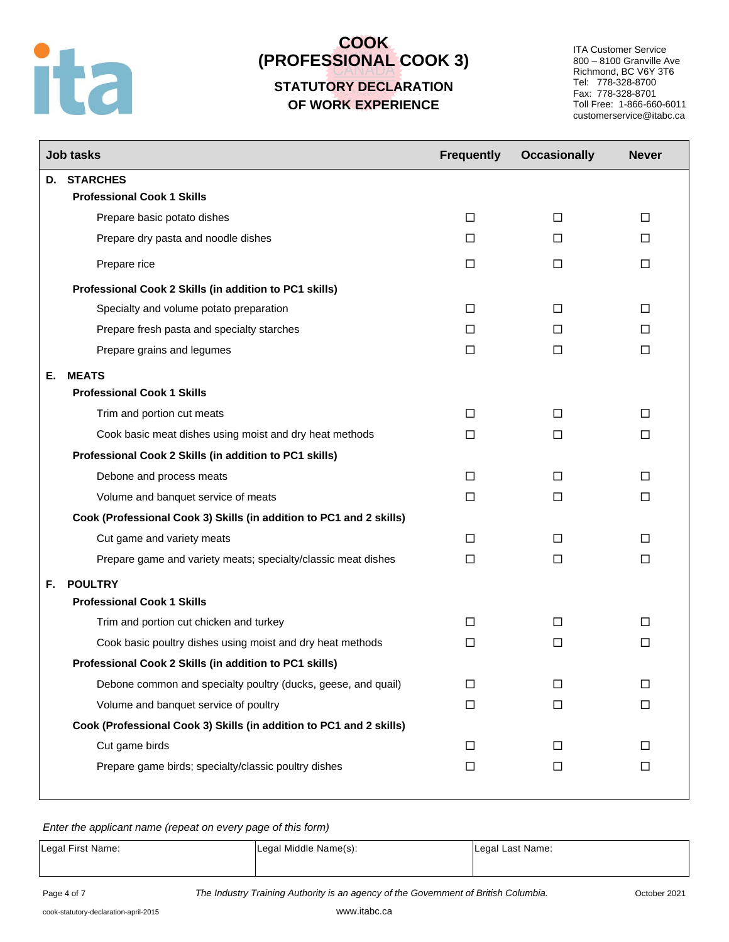# ita

# **COOK (PROFESSIONAL COOK 3)**

## **STATUTORY DECLARATION OF WORK EXPERIENCE**

ITA Customer Service 800 – 8100 Granville Ave Richmond, BC V6Y 3T6 Tel: 778-328-8700 Fax: 778-328-8701 Toll Free: 1-866-660-6011 customerservice@itabc.ca

|    | <b>Job tasks</b>                                                    | <b>Frequently</b> | <b>Occasionally</b> | <b>Never</b> |
|----|---------------------------------------------------------------------|-------------------|---------------------|--------------|
|    | D. STARCHES                                                         |                   |                     |              |
|    | <b>Professional Cook 1 Skills</b>                                   |                   |                     |              |
|    | Prepare basic potato dishes                                         | □                 | □                   | □            |
|    | Prepare dry pasta and noodle dishes                                 | П                 | □                   | □            |
|    | Prepare rice                                                        | □                 | □                   | $\Box$       |
|    | Professional Cook 2 Skills (in addition to PC1 skills)              |                   |                     |              |
|    | Specialty and volume potato preparation                             | $\Box$            | $\Box$              | $\Box$       |
|    | Prepare fresh pasta and specialty starches                          | П                 | □                   | П            |
|    | Prepare grains and legumes                                          | □                 | □                   | $\Box$       |
| Е. | <b>MEATS</b>                                                        |                   |                     |              |
|    | <b>Professional Cook 1 Skills</b>                                   |                   |                     |              |
|    | Trim and portion cut meats                                          | □                 | □                   | $\Box$       |
|    | Cook basic meat dishes using moist and dry heat methods             | □                 | □                   | $\Box$       |
|    | Professional Cook 2 Skills (in addition to PC1 skills)              |                   |                     |              |
|    | Debone and process meats                                            | □                 | □                   | □            |
|    | Volume and banquet service of meats                                 | □                 | $\Box$              | $\Box$       |
|    | Cook (Professional Cook 3) Skills (in addition to PC1 and 2 skills) |                   |                     |              |
|    | Cut game and variety meats                                          | П                 | □                   | □            |
|    | Prepare game and variety meats; specialty/classic meat dishes       | □                 | □                   | $\Box$       |
| F. | <b>POULTRY</b>                                                      |                   |                     |              |
|    | <b>Professional Cook 1 Skills</b>                                   |                   |                     |              |
|    | Trim and portion cut chicken and turkey                             | □                 | □                   | □            |
|    | Cook basic poultry dishes using moist and dry heat methods          | □                 | □                   | $\Box$       |
|    | Professional Cook 2 Skills (in addition to PC1 skills)              |                   |                     |              |
|    | Debone common and specialty poultry (ducks, geese, and quail)       | □                 | □                   | □            |
|    | Volume and banquet service of poultry                               | $\Box$            | □                   | $\Box$       |
|    | Cook (Professional Cook 3) Skills (in addition to PC1 and 2 skills) |                   |                     |              |
|    | Cut game birds                                                      | $\Box$            | □                   | □            |
|    | Prepare game birds; specialty/classic poultry dishes                | □                 | □                   | $\Box$       |
|    |                                                                     |                   |                     |              |

*Enter the applicant name (repeat on every page of this form)*

| Legal First Name: | Legal Middle Name(s): | Legal Last Name: |
|-------------------|-----------------------|------------------|
|                   |                       |                  |

Page 4 of 7 *The Industry Training Authority is an agency of the Government of British Columbia.* October 2021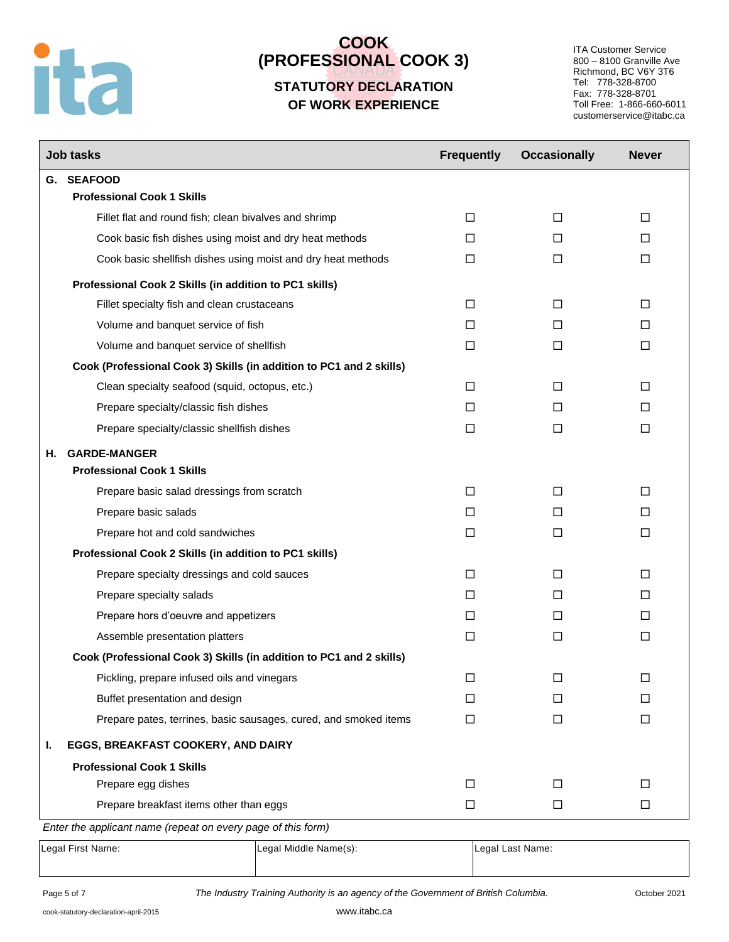# ita

# **COOK (PROFESSIONAL COOK 3)**

## **STATUTORY DECLARATION OF WORK EXPERIENCE**

ITA Customer Service 800 – 8100 Granville Ave Richmond, BC V6Y 3T6 Tel: 778-328-8700 Fax: 778-328-8701 Toll Free: 1-866-660-6011 customerservice@itabc.ca

|    | <b>Job tasks</b>                                                                                        | <b>Frequently</b> | <b>Occasionally</b> | <b>Never</b> |
|----|---------------------------------------------------------------------------------------------------------|-------------------|---------------------|--------------|
| G. | <b>SEAFOOD</b>                                                                                          |                   |                     |              |
|    | <b>Professional Cook 1 Skills</b>                                                                       |                   |                     |              |
|    | Fillet flat and round fish; clean bivalves and shrimp                                                   | $\Box$            | $\Box$              | $\Box$       |
|    | Cook basic fish dishes using moist and dry heat methods                                                 | □                 | □                   | $\Box$       |
|    | Cook basic shellfish dishes using moist and dry heat methods                                            | □                 | $\Box$              | $\Box$       |
|    | Professional Cook 2 Skills (in addition to PC1 skills)                                                  |                   |                     |              |
|    | Fillet specialty fish and clean crustaceans                                                             | □                 | □                   | □            |
|    | Volume and banquet service of fish                                                                      | П                 | П                   | $\Box$       |
|    | Volume and banquet service of shellfish                                                                 | □                 | $\Box$              | $\Box$       |
|    | Cook (Professional Cook 3) Skills (in addition to PC1 and 2 skills)                                     |                   |                     |              |
|    | Clean specialty seafood (squid, octopus, etc.)                                                          | □                 | □                   | □            |
|    | Prepare specialty/classic fish dishes                                                                   | □                 | П                   | П            |
|    | Prepare specialty/classic shellfish dishes                                                              | □                 | $\Box$              | $\Box$       |
| Н. | <b>GARDE-MANGER</b>                                                                                     |                   |                     |              |
|    | <b>Professional Cook 1 Skills</b>                                                                       |                   |                     |              |
|    | Prepare basic salad dressings from scratch                                                              | □                 | □                   | □            |
|    | Prepare basic salads                                                                                    | □                 | □                   | □            |
|    | Prepare hot and cold sandwiches                                                                         | □                 | □                   | □            |
|    | Professional Cook 2 Skills (in addition to PC1 skills)                                                  |                   |                     |              |
|    | Prepare specialty dressings and cold sauces                                                             | □                 | □                   | $\Box$       |
|    | Prepare specialty salads                                                                                | □                 | □                   | □            |
|    | Prepare hors d'oeuvre and appetizers                                                                    | □                 | П                   | □            |
|    | Assemble presentation platters                                                                          | □                 | □                   | $\Box$       |
|    | Cook (Professional Cook 3) Skills (in addition to PC1 and 2 skills)                                     |                   |                     |              |
|    | Pickling, prepare infused oils and vinegars                                                             | ப                 | □                   | $\Box$       |
|    | Buffet presentation and design                                                                          | $\perp$           | $\perp$             | П            |
|    | Prepare pates, terrines, basic sausages, cured, and smoked items                                        | $\Box$            | $\Box$              | $\Box$       |
| ı. | EGGS, BREAKFAST COOKERY, AND DAIRY                                                                      |                   |                     |              |
|    | <b>Professional Cook 1 Skills</b>                                                                       |                   |                     |              |
|    | Prepare egg dishes                                                                                      | □                 | □                   | □            |
|    | Prepare breakfast items other than eggs<br>Enter the englished name (repeat on event nego of this form) | □                 | □                   | $\Box$       |

*Enter the applicant name (repeat on every page of this form)*

Legal First Name: Legal Middle Name(s): Legal Legal Last Name: Legal Last Name:

Page 5 of 7 *The Industry Training Authority is an agency of the Government of British Columbia.* October 2021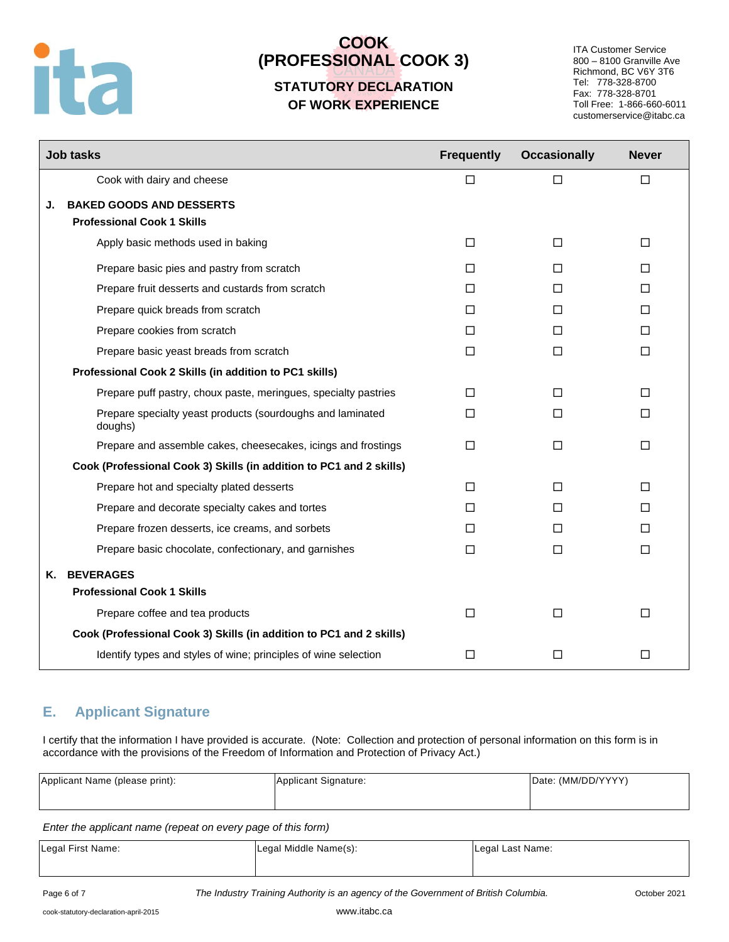# ita

# **COOK (PROFESSIONAL COOK 3)**

## **STATUTORY DECLARATION OF WORK EXPERIENCE**

ITA Customer Service 800 – 8100 Granville Ave Richmond, BC V6Y 3T6 Tel: 778-328-8700 Fax: 778-328-8701 Toll Free: 1-866-660-6011 customerservice@itabc.ca

|    | <b>Job tasks</b>                                                      | <b>Frequently</b> | <b>Occasionally</b> | <b>Never</b> |
|----|-----------------------------------------------------------------------|-------------------|---------------------|--------------|
|    | Cook with dairy and cheese                                            | □                 | □                   | $\Box$       |
| J. | <b>BAKED GOODS AND DESSERTS</b>                                       |                   |                     |              |
|    | <b>Professional Cook 1 Skills</b>                                     |                   |                     |              |
|    | Apply basic methods used in baking                                    | □                 | □                   | □            |
|    | Prepare basic pies and pastry from scratch                            | П                 | П                   | $\Box$       |
|    | Prepare fruit desserts and custards from scratch                      | П                 | П                   | п            |
|    | Prepare quick breads from scratch                                     | □                 | П                   | $\Box$       |
|    | Prepare cookies from scratch                                          | П                 | $\Box$              | $\Box$       |
|    | Prepare basic yeast breads from scratch                               | П                 | $\Box$              | $\Box$       |
|    | Professional Cook 2 Skills (in addition to PC1 skills)                |                   |                     |              |
|    | Prepare puff pastry, choux paste, meringues, specialty pastries       | $\Box$            | $\Box$              | П            |
|    | Prepare specialty yeast products (sourdoughs and laminated<br>doughs) | П                 | $\Box$              | □            |
|    | Prepare and assemble cakes, cheesecakes, icings and frostings         | П                 | □                   | П            |
|    | Cook (Professional Cook 3) Skills (in addition to PC1 and 2 skills)   |                   |                     |              |
|    | Prepare hot and specialty plated desserts                             | П                 | П                   | $\Box$       |
|    | Prepare and decorate specialty cakes and tortes                       | П                 | $\Box$              | П            |
|    | Prepare frozen desserts, ice creams, and sorbets                      | П                 | $\Box$              | $\Box$       |
|    | Prepare basic chocolate, confectionary, and garnishes                 | $\Box$            | $\Box$              | $\Box$       |
| Κ. | <b>BEVERAGES</b>                                                      |                   |                     |              |
|    | <b>Professional Cook 1 Skills</b>                                     |                   |                     |              |
|    | Prepare coffee and tea products                                       | $\Box$            | $\Box$              | $\Box$       |
|    | Cook (Professional Cook 3) Skills (in addition to PC1 and 2 skills)   |                   |                     |              |
|    | Identify types and styles of wine; principles of wine selection       | $\Box$            | $\Box$              | □            |

## **E. Applicant Signature**

I certify that the information I have provided is accurate. (Note: Collection and protection of personal information on this form is in accordance with the provisions of the Freedom of Information and Protection of Privacy Act.)

| Applicant Name (please print): | Applicant Signature: | Date: (MM/DD/YYYY) |
|--------------------------------|----------------------|--------------------|
|                                |                      |                    |

*Enter the applicant name (repeat on every page of this form)*

| Legal First Name: | Legal Middle Name(s): | Legal Last Name: |
|-------------------|-----------------------|------------------|
|                   |                       |                  |

Page 6 of 7 *The Industry Training Authority is an agency of the Government of British Columbia.* October 2021